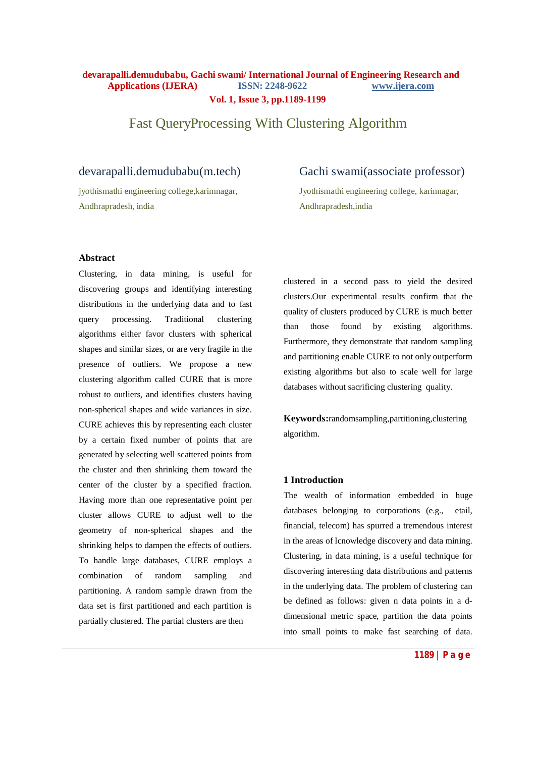Fast QueryProcessing With Clustering Algorithm

devarapalli.demudubabu(m.tech)

jyothismathi engineering college,karimnagar, Andhrapradesh, india

## Gachi swami(associate professor)

Jyothismathi engineering college, karinnagar, Andhrapradesh,india

### **Abstract**

Clustering, in data mining, is useful for discovering groups and identifying interesting distributions in the underlying data and to fast query processing. Traditional clustering algorithms either favor clusters with spherical shapes and similar sizes, or are very fragile in the presence of outliers. We propose a new clustering algorithm called CURE that is more robust to outliers, and identifies clusters having non-spherical shapes and wide variances in size. CURE achieves this by representing each cluster by a certain fixed number of points that are generated by selecting well scattered points from the cluster and then shrinking them toward the center of the cluster by a specified fraction. Having more than one representative point per cluster allows CURE to adjust well to the geometry of non-spherical shapes and the shrinking helps to dampen the effects of outliers. To handle large databases, CURE employs a combination of random sampling and partitioning. A random sample drawn from the data set is first partitioned and each partition is partially clustered. The partial clusters are then

clustered in a second pass to yield the desired clusters.Our experimental results confirm that the quality of clusters produced by CURE is much better than those found by existing algorithms. Furthermore, they demonstrate that random sampling and partitioning enable CURE to not only outperform existing algorithms but also to scale well for large databases without sacrificing clustering quality.

**Keywords:**randomsampling,partitioning,clustering algorithm.

### **1 Introduction**

The wealth of information embedded in huge databases belonging to corporations (e.g., etail, financial, telecom) has spurred a tremendous interest in the areas of lcnowledge discovery and data mining. Clustering, in data mining, is a useful technique for discovering interesting data distributions and patterns in the underlying data. The problem of clustering can be defined as follows: given n data points in a ddimensional metric space, partition the data points into small points to make fast searching of data.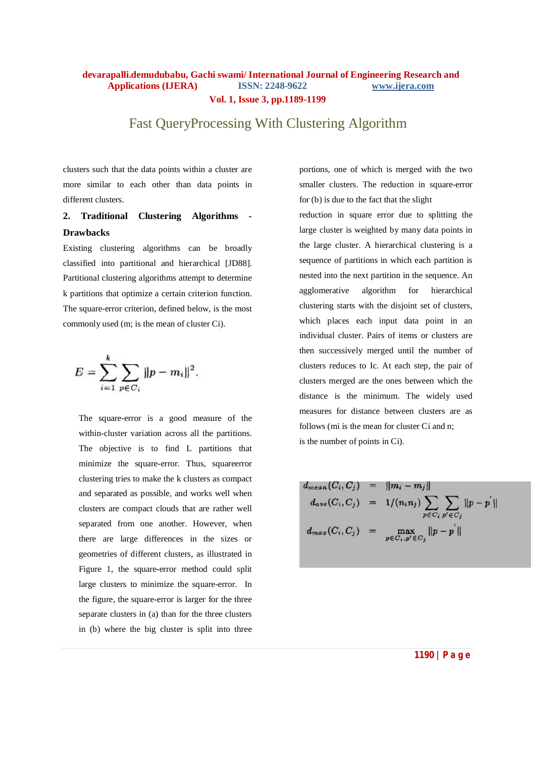Fast QueryProcessing With Clustering Algorithm

clusters such that the data points within a cluster are more similar to each other than data points in different clusters.

# **2. Traditional Clustering Algorithms - Drawbacks**

Existing clustering algorithms can be broadly classified into partitional and hierarchical [JD88]. Partitional clustering algorithms attempt to determine k partitions that optimize a certain criterion function. The square-error criterion, defined below, is the most commonly used (m; is the mean of cluster Ci).

$$
E = \sum_{i=1}^{k} \sum_{p \in C_i} ||p - m_i||^2.
$$

The square-error is a good measure of the within-cluster variation across all the partitions. The objective is to find L partitions that minimize the square-error. Thus, squareerror clustering tries to make the k clusters as compact and separated as possible, and works well when clusters are compact clouds that are rather well separated from one another. However, when there are large differences in the sizes or geometries of different clusters, as illustrated in Figure 1, the square-error method could split large clusters to minimize the square-error. In the figure, the square-error is larger for the three separate clusters in (a) than for the three clusters in (b) where the big cluster is split into three

portions, one of which is merged with the two smaller clusters. The reduction in square-error for (b) is due to the fact that the slight

reduction in square error due to splitting the large cluster is weighted by many data points in the large cluster. A hierarchical clustering is a sequence of partitions in which each partition is nested into the next partition in the sequence. An agglomerative algorithm for hierarchical clustering starts with the disjoint set of clusters, which places each input data point in an individual cluster. Pairs of items or clusters are then successively merged until the number of clusters reduces to Ic. At each step, the pair of clusters merged are the ones between which the distance is the minimum. The widely used measures for distance between clusters are as follows (mi is the mean for cluster Ci and n; is the number of points in Ci).

$$
d_{mean}(C_i, C_j) = ||m_i - m_j||
$$
  
\n
$$
d_{ave}(C_i, C_j) = 1/(n_i n_j) \sum_{p \in C_i} \sum_{p' \in C_j} ||p - p'||
$$
  
\n
$$
d_{max}(C_i, C_j) = \max_{p \in C_i, p' \in C_j} ||p - p'||
$$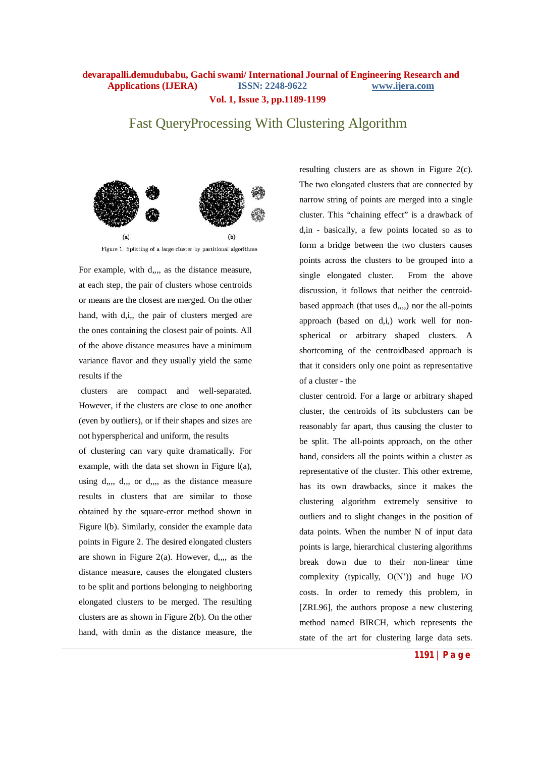# Fast QueryProcessing With Clustering Algorithm



Figure 1: Splitting of a large cluster by partitional algorithms

For example, with d,,,, as the distance measure, at each step, the pair of clusters whose centroids or means are the closest are merged. On the other hand, with d,i,, the pair of clusters merged are the ones containing the closest pair of points. All of the above distance measures have a minimum variance flavor and they usually yield the same results if the

clusters are compact and well-separated. However, if the clusters are close to one another (even by outliers), or if their shapes and sizes are not hyperspherical and uniform, the results

of clustering can vary quite dramatically. For example, with the data set shown in Figure l(a), using  $d_{n+1}$ ,  $d_{n+1}$  or  $d_{n+1}$ , as the distance measure results in clusters that are similar to those obtained by the square-error method shown in Figure l(b). Similarly, consider the example data points in Figure 2. The desired elongated clusters are shown in Figure 2(a). However,  $d_{\text{u}}$  as the distance measure, causes the elongated clusters to be split and portions belonging to neighboring elongated clusters to be merged. The resulting clusters are as shown in Figure 2(b). On the other hand, with dmin as the distance measure, the

resulting clusters are as shown in Figure 2(c). The two elongated clusters that are connected by narrow string of points are merged into a single cluster. This "chaining effect" is a drawback of d,in - basically, a few points located so as to form a bridge between the two clusters causes points across the clusters to be grouped into a single elongated cluster. From the above discussion, it follows that neither the centroidbased approach (that uses d,,,,) nor the all-points approach (based on d,i,) work well for nonspherical or arbitrary shaped clusters. A shortcoming of the centroidbased approach is that it considers only one point as representative of a cluster - the

cluster centroid. For a large or arbitrary shaped cluster, the centroids of its subclusters can be reasonably far apart, thus causing the cluster to be split. The all-points approach, on the other hand, considers all the points within a cluster as representative of the cluster. This other extreme, has its own drawbacks, since it makes the clustering algorithm extremely sensitive to outliers and to slight changes in the position of data points. When the number N of input data points is large, hierarchical clustering algorithms break down due to their non-linear time complexity (typically, O(N')) and huge I/O costs. In order to remedy this problem, in [ZRL96], the authors propose a new clustering method named BIRCH, which represents the state of the art for clustering large data sets.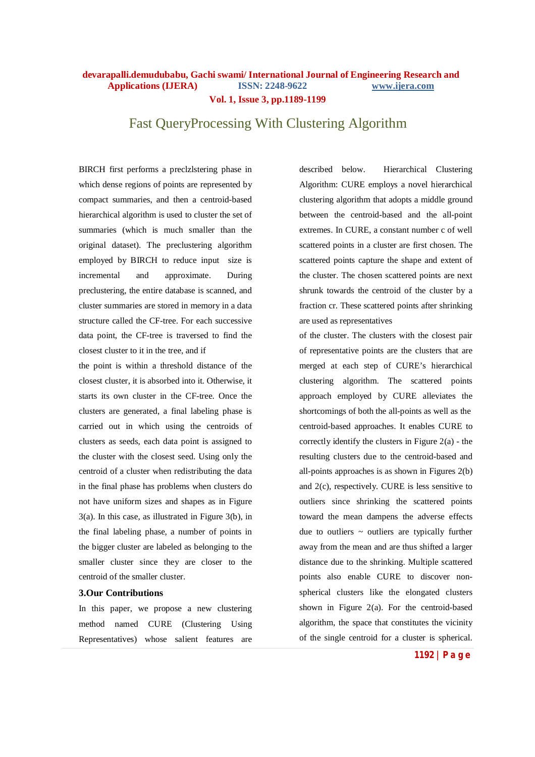# Fast QueryProcessing With Clustering Algorithm

BIRCH first performs a preclzlstering phase in which dense regions of points are represented by compact summaries, and then a centroid-based hierarchical algorithm is used to cluster the set of summaries (which is much smaller than the original dataset). The preclustering algorithm employed by BIRCH to reduce input size is incremental and approximate. During preclustering, the entire database is scanned, and cluster summaries are stored in memory in a data structure called the CF-tree. For each successive data point, the CF-tree is traversed to find the closest cluster to it in the tree, and if

the point is within a threshold distance of the closest cluster, it is absorbed into it. Otherwise, it starts its own cluster in the CF-tree. Once the clusters are generated, a final labeling phase is carried out in which using the centroids of clusters as seeds, each data point is assigned to the cluster with the closest seed. Using only the centroid of a cluster when redistributing the data in the final phase has problems when clusters do not have uniform sizes and shapes as in Figure 3(a). In this case, as illustrated in Figure 3(b), in the final labeling phase, a number of points in the bigger cluster are labeled as belonging to the smaller cluster since they are closer to the centroid of the smaller cluster.

#### **3.Our Contributions**

In this paper, we propose a new clustering method named CURE (Clustering Using Representatives) whose salient features are described below. Hierarchical Clustering Algorithm: CURE employs a novel hierarchical clustering algorithm that adopts a middle ground between the centroid-based and the all-point extremes. In CURE, a constant number c of well scattered points in a cluster are first chosen. The scattered points capture the shape and extent of the cluster. The chosen scattered points are next shrunk towards the centroid of the cluster by a fraction cr. These scattered points after shrinking are used as representatives

of the cluster. The clusters with the closest pair of representative points are the clusters that are merged at each step of CURE's hierarchical clustering algorithm. The scattered points approach employed by CURE alleviates the shortcomings of both the all-points as well as the centroid-based approaches. It enables CURE to correctly identify the clusters in Figure 2(a) - the resulting clusters due to the centroid-based and all-points approaches is as shown in Figures 2(b) and 2(c), respectively. CURE is less sensitive to outliers since shrinking the scattered points toward the mean dampens the adverse effects due to outliers  $\sim$  outliers are typically further away from the mean and are thus shifted a larger distance due to the shrinking. Multiple scattered points also enable CURE to discover nonspherical clusters like the elongated clusters shown in Figure  $2(a)$ . For the centroid-based algorithm, the space that constitutes the vicinity of the single centroid for a cluster is spherical.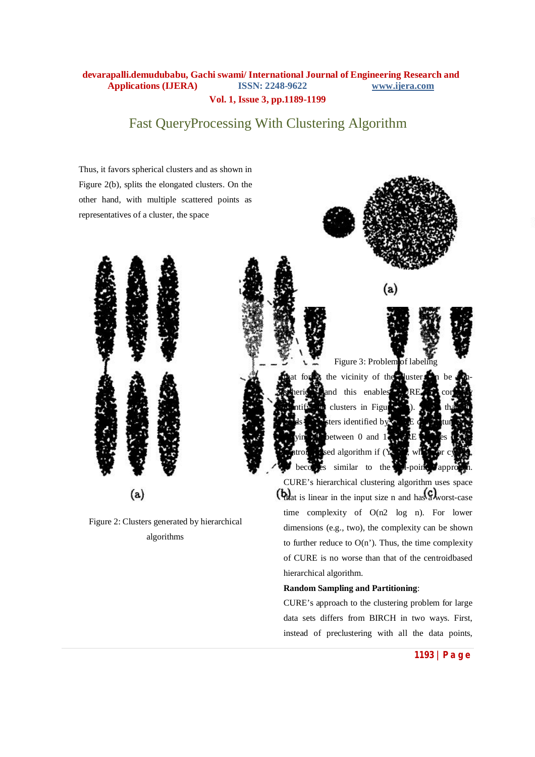# Fast QueryProcessing With Clustering Algorithm

Thus, it favors spherical clusters and as shown in Figure 2(b), splits the elongated clusters. On the other hand, with multiple scattered points as representatives of a cluster, the space



Figure 2: Clusters generated by hierarchical algorithms



 $(a)$ 



Figure 3: Problem of labeling

forms the vicinity of the luster and this enables clusters in Figu ters identified by vetween  $0$  and  $1$ . sed algorithm if ( $Y$ becomes similar to the all-point appr

CURE's hierarchical clustering algorithm uses space  $\left(\mathbf{b}_{\mathbf{d}}\right)$  is linear in the input size n and has a worst-case time complexity of O(n2 log n). For lower dimensions (e.g., two), the complexity can be shown to further reduce to  $O(n')$ . Thus, the time complexity of CURE is no worse than that of the centroidbased hierarchical algorithm.

### **Random Sampling and Partitioning**:

CURE's approach to the clustering problem for large data sets differs from BIRCH in two ways. First, instead of preclustering with all the data points,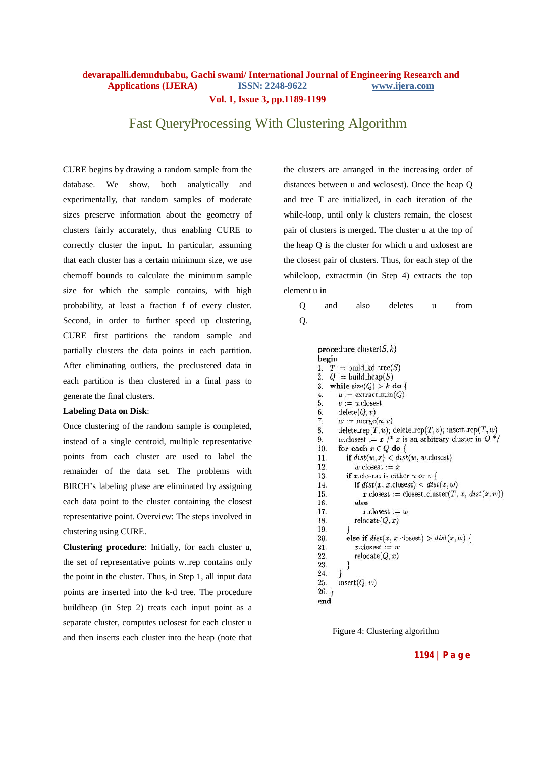Fast QueryProcessing With Clustering Algorithm

CURE begins by drawing a random sample from the database. We show, both analytically and experimentally, that random samples of moderate sizes preserve information about the geometry of clusters fairly accurately, thus enabling CURE to correctly cluster the input. In particular, assuming that each cluster has a certain minimum size, we use chernoff bounds to calculate the minimum sample size for which the sample contains, with high probability, at least a fraction f of every cluster. Second, in order to further speed up clustering, CURE first partitions the random sample and partially clusters the data points in each partition. After eliminating outliers, the preclustered data in each partition is then clustered in a final pass to generate the final clusters.

#### **Labeling Data on Disk**:

Once clustering of the random sample is completed, instead of a single centroid, multiple representative points from each cluster are used to label the remainder of the data set. The problems with BIRCH's labeling phase are eliminated by assigning each data point to the cluster containing the closest representative point. Overview: The steps involved in clustering using CURE.

**Clustering procedure**: Initially, for each cluster u, the set of representative points w..rep contains only the point in the cluster. Thus, in Step 1, all input data points are inserted into the k-d tree. The procedure buildheap (in Step 2) treats each input point as a separate cluster, computes uclosest for each cluster u and then inserts each cluster into the heap (note that the clusters are arranged in the increasing order of distances between u and wclosest). Once the heap Q and tree T are initialized, in each iteration of the while-loop, until only k clusters remain, the closest pair of clusters is merged. The cluster u at the top of the heap Q is the cluster for which u and uxlosest are the closest pair of clusters. Thus, for each step of the whileloop, extractmin (in Step 4) extracts the top element u in

Q and also deletes u from Q.

```
procedure cluster(S, k)
begin
    T := \text{build\_kd\_tree}(S)1.2Q := \text{build} \text{.} \text{heap}(S)while size(Q) > k do {
3.
       u :=extract_min(Q)
\overline{4}.
5.
       v := u.closest
6.
       delete(Q, v)7.
       w := \text{merge}(u, v)delete_rep(T, u); delete_rep(T, v); insert_rep(T, w)<br>w.closest := x \nmid^* x is an arbitrary cluster in Q^*/8.
9.
       for each x \in Q do {
10.
           if dist(w, x) < dist(w, w.\text{closest})11.
              w.closest := x12.
           if x.closest is either u or v \{13.
14.
              if dist(x, x.\text{closest}) < dist(x, w)x.closest := closest_cluster(T, x, dist(x, w))
15.
16else
                x.closest := w17.
18.
              relocated(Q, x)19.
20.
           else if dist(x, x \text{ closest}) > dist(x, w) {
21.x.closest := w22.
              relocated(Q, x)23.
24.
25.
       insert(Q, w)26.}
end
```
Figure 4: Clustering algorithm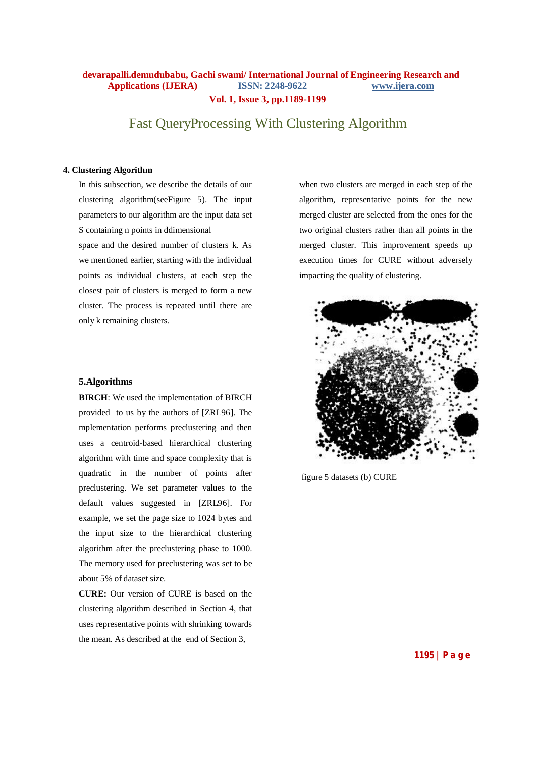Fast QueryProcessing With Clustering Algorithm

#### **4. Clustering Algorithm**

In this subsection, we describe the details of our clustering algorithm(seeFigure 5). The input parameters to our algorithm are the input data set S containing n points in ddimensional

space and the desired number of clusters k. As we mentioned earlier, starting with the individual points as individual clusters, at each step the closest pair of clusters is merged to form a new cluster. The process is repeated until there are only k remaining clusters.

#### **5.Algorithms**

**BIRCH**: We used the implementation of BIRCH provided to us by the authors of [ZRL96]. The mplementation performs preclustering and then uses a centroid-based hierarchical clustering algorithm with time and space complexity that is quadratic in the number of points after preclustering. We set parameter values to the default values suggested in [ZRL96]. For example, we set the page size to 1024 bytes and the input size to the hierarchical clustering algorithm after the preclustering phase to 1000. The memory used for preclustering was set to be about 5% of dataset size.

**CURE:** Our version of CURE is based on the clustering algorithm described in Section 4, that uses representative points with shrinking towards the mean. As described at the end of Section 3,

when two clusters are merged in each step of the algorithm, representative points for the new merged cluster are selected from the ones for the two original clusters rather than all points in the merged cluster. This improvement speeds up execution times for CURE without adversely impacting the quality of clustering.



figure 5 datasets (b) CURE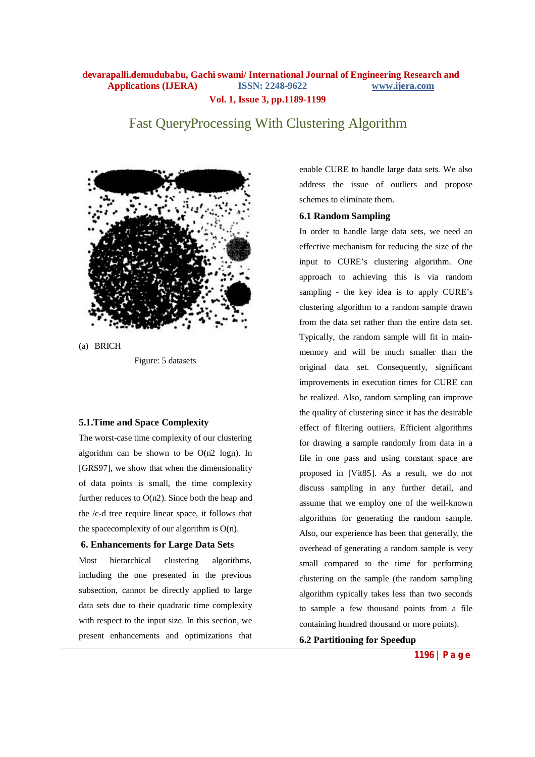Fast QueryProcessing With Clustering Algorithm



(a) BRICH Figure: 5 datasets

#### **5.1.Time and Space Complexity**

The worst-case time complexity of our clustering algorithm can be shown to be O(n2 logn). In [GRS97], we show that when the dimensionality of data points is small, the time complexity further reduces to  $O(n2)$ . Since both the heap and the /c-d tree require linear space, it follows that the spacecomplexity of our algorithm is  $O(n)$ .

#### **6. Enhancements for Large Data Sets**

Most hierarchical clustering algorithms, including the one presented in the previous subsection, cannot be directly applied to large data sets due to their quadratic time complexity with respect to the input size. In this section, we present enhancements and optimizations that enable CURE to handle large data sets. We also address the issue of outliers and propose schemes to eliminate them.

### **6.1 Random Sampling**

In order to handle large data sets, we need an effective mechanism for reducing the size of the input to CURE's clustering algorithm. One approach to achieving this is via random sampling - the key idea is to apply CURE's clustering algorithm to a random sample drawn from the data set rather than the entire data set. Typically, the random sample will fit in mainmemory and will be much smaller than the original data set. Consequently, significant improvements in execution times for CURE can be realized. Also, random sampling can improve the quality of clustering since it has the desirable effect of filtering outiiers. Efficient algorithms for drawing a sample randomly from data in a file in one pass and using constant space are proposed in [Vit85]. As a result, we do not discuss sampling in any further detail, and assume that we employ one of the well-known algorithms for generating the random sample. Also, our experience has been that generally, the overhead of generating a random sample is very small compared to the time for performing clustering on the sample (the random sampling algorithm typically takes less than two seconds to sample a few thousand points from a file containing hundred thousand or more points).

**6.2 Partitioning for Speedup**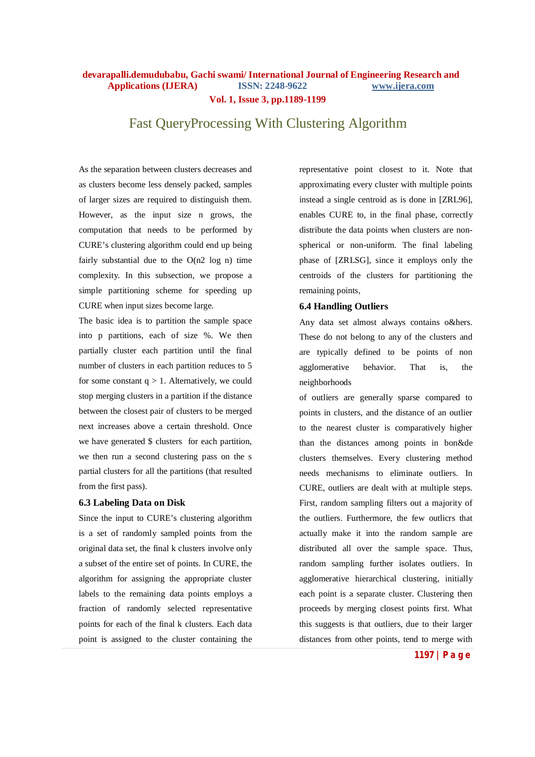# Fast QueryProcessing With Clustering Algorithm

As the separation between clusters decreases and as clusters become less densely packed, samples of larger sizes are required to distinguish them. However, as the input size n grows, the computation that needs to be performed by CURE's clustering algorithm could end up being fairly substantial due to the  $O(n2 \log n)$  time complexity. In this subsection, we propose a simple partitioning scheme for speeding up CURE when input sizes become large.

The basic idea is to partition the sample space into p partitions, each of size %. We then partially cluster each partition until the final number of clusters in each partition reduces to 5 for some constant  $q > 1$ . Alternatively, we could stop merging clusters in a partition if the distance between the closest pair of clusters to be merged next increases above a certain threshold. Once we have generated \$ clusters for each partition, we then run a second clustering pass on the s partial clusters for all the partitions (that resulted from the first pass).

#### **6.3 Labeling Data on Disk**

Since the input to CURE's clustering algorithm is a set of randomly sampled points from the original data set, the final k clusters involve only a subset of the entire set of points. In CURE, the algorithm for assigning the appropriate cluster labels to the remaining data points employs a fraction of randomly selected representative points for each of the final k clusters. Each data point is assigned to the cluster containing the representative point closest to it. Note that approximating every cluster with multiple points instead a single centroid as is done in [ZRL96], enables CURE to, in the final phase, correctly distribute the data points when clusters are nonspherical or non-uniform. The final labeling phase of [ZRLSG], since it employs only the centroids of the clusters for partitioning the remaining points,

### **6.4 Handling Outliers**

Any data set almost always contains o&hers. These do not belong to any of the clusters and are typically defined to be points of non agglomerative behavior. That is, the neighborhoods

of outliers are generally sparse compared to points in clusters, and the distance of an outlier to the nearest cluster is comparatively higher than the distances among points in bon&de clusters themselves. Every clustering method needs mechanisms to eliminate outliers. In CURE, outliers are dealt with at multiple steps. First, random sampling filters out a majority of the outliers. Furthermore, the few outlicrs that actually make it into the random sample are distributed all over the sample space. Thus, random sampling further isolates outliers. In agglomerative hierarchical clustering, initially each point is a separate cluster. Clustering then proceeds by merging closest points first. What this suggests is that outliers, due to their larger distances from other points, tend to merge with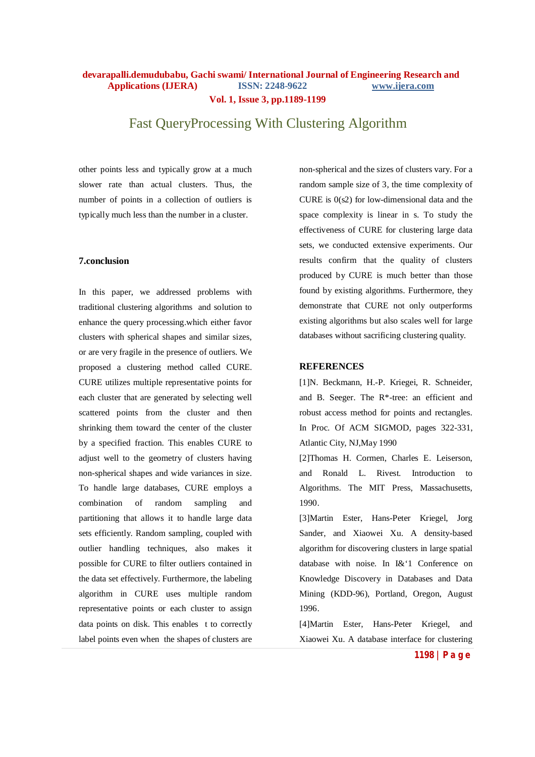# Fast QueryProcessing With Clustering Algorithm

other points less and typically grow at a much slower rate than actual clusters. Thus, the number of points in a collection of outliers is typically much less than the number in a cluster.

### **7.conclusion**

In this paper, we addressed problems with traditional clustering algorithms and solution to enhance the query processing.which either favor clusters with spherical shapes and similar sizes, or are very fragile in the presence of outliers. We proposed a clustering method called CURE. CURE utilizes multiple representative points for each cluster that are generated by selecting well scattered points from the cluster and then shrinking them toward the center of the cluster by a specified fraction. This enables CURE to adjust well to the geometry of clusters having non-spherical shapes and wide variances in size. To handle large databases, CURE employs a combination of random sampling and partitioning that allows it to handle large data sets efficiently. Random sampling, coupled with outlier handling techniques, also makes it possible for CURE to filter outliers contained in the data set effectively. Furthermore, the labeling algorithm in CURE uses multiple random representative points or each cluster to assign data points on disk. This enables t to correctly label points even when the shapes of clusters are non-spherical and the sizes of clusters vary. For a random sample size of 3, the time complexity of CURE is  $0(s2)$  for low-dimensional data and the space complexity is linear in s. To study the effectiveness of CURE for clustering large data sets, we conducted extensive experiments. Our results confirm that the quality of clusters produced by CURE is much better than those found by existing algorithms. Furthermore, they demonstrate that CURE not only outperforms existing algorithms but also scales well for large databases without sacrificing clustering quality.

### **REFERENCES**

[1]N. Beckmann, H.-P. Kriegei, R. Schneider, and B. Seeger. The R\*-tree: an efficient and robust access method for points and rectangles. In Proc. Of ACM SIGMOD, pages 322-331, Atlantic City, NJ,May 1990

[2]Thomas H. Cormen, Charles E. Leiserson, and Ronald L. Rivest. Introduction to Algorithms. The MIT Press, Massachusetts, 1990.

[3]Martin Ester, Hans-Peter Kriegel, Jorg Sander, and Xiaowei Xu. A density-based algorithm for discovering clusters in large spatial database with noise. In I&'1 Conference on Knowledge Discovery in Databases and Data Mining (KDD-96), Portland, Oregon, August 1996.

[4]Martin Ester, Hans-Peter Kriegel, and Xiaowei Xu. A database interface for clustering